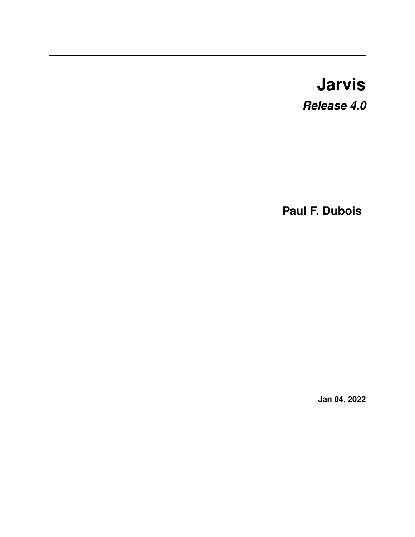# **Jarvis**

*Release 4.0*

**Paul F. Dubois**

**Jan 04, 2022**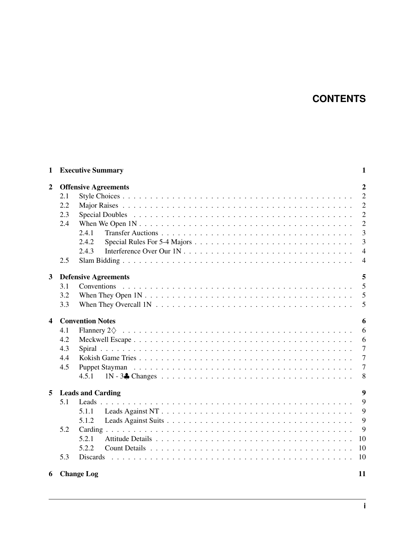## **CONTENTS**

| 1              |                                               | <b>Executive Summary</b>                                                                                    | 1              |
|----------------|-----------------------------------------------|-------------------------------------------------------------------------------------------------------------|----------------|
| $\overline{2}$ | $\overline{2}$<br><b>Offensive Agreements</b> |                                                                                                             |                |
|                | 2.1                                           |                                                                                                             | $\overline{2}$ |
|                | 2.2                                           |                                                                                                             | $\overline{2}$ |
|                | 2.3                                           |                                                                                                             | $\overline{2}$ |
|                | 2.4                                           |                                                                                                             | $\overline{2}$ |
|                |                                               | 2.4.1                                                                                                       | $\overline{3}$ |
|                |                                               | 2.4.2                                                                                                       | $\overline{3}$ |
|                |                                               | 2.4.3                                                                                                       | $\overline{4}$ |
|                | 2.5                                           |                                                                                                             | $\overline{4}$ |
|                |                                               |                                                                                                             |                |
| 3              |                                               | <b>Defensive Agreements</b>                                                                                 | 5              |
|                | 3.1                                           |                                                                                                             | 5              |
|                | 3.2                                           |                                                                                                             | 5              |
|                | 3.3                                           | When They Overcall $1N \ldots \ldots \ldots \ldots \ldots \ldots \ldots \ldots \ldots \ldots \ldots \ldots$ | 5              |
| 4              | <b>Convention Notes</b><br>6                  |                                                                                                             |                |
|                | 4.1                                           |                                                                                                             | 6              |
|                | 4.2                                           |                                                                                                             | 6              |
|                | 4.3                                           |                                                                                                             | $\overline{7}$ |
|                | 4.4                                           |                                                                                                             | $\overline{7}$ |
|                | 4.5                                           |                                                                                                             | $\overline{7}$ |
|                |                                               | 4.5.1                                                                                                       | 8              |
|                |                                               |                                                                                                             |                |
| 5              |                                               | <b>Leads and Carding</b>                                                                                    | 9              |
|                | 5.1                                           |                                                                                                             | 9              |
|                |                                               | 5.1.1                                                                                                       | 9              |
|                |                                               | 5.1.2                                                                                                       | 9              |
|                | 5.2                                           |                                                                                                             | 9              |
|                |                                               | 5.2.1                                                                                                       | 10             |
|                |                                               | 5.2.2                                                                                                       | 10             |
|                | 5.3                                           |                                                                                                             | 10             |
| 6              |                                               | <b>Change Log</b>                                                                                           | 11             |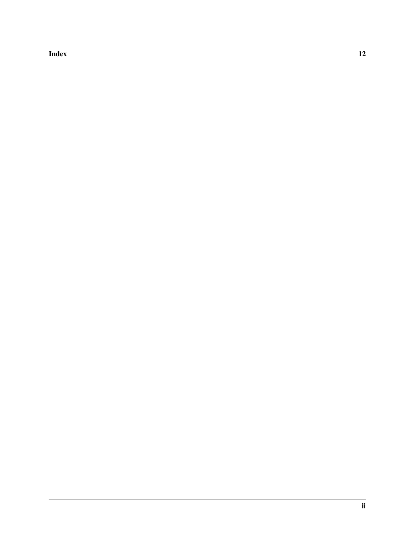[Index](#page-14-0) 2012 12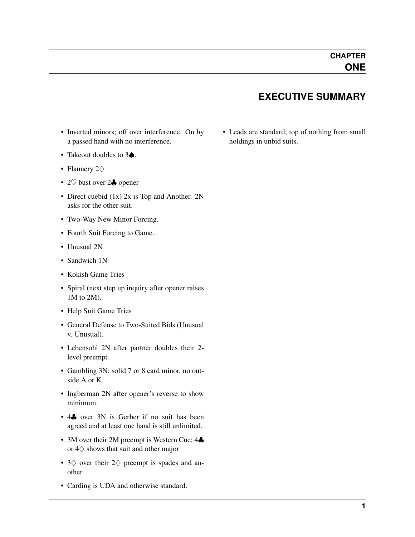## **EXECUTIVE SUMMARY**

- <span id="page-3-0"></span>• Inverted minors; off over interference. On by a passed hand with no interference.
- Takeout doubles to 3♠.
- Flannery 2♢
- 2♡ bust over 2♣ opener
- Direct cuebid (1x) 2x is Top and Another. 2N asks for the other suit.
- Two-Way New Minor Forcing.
- Fourth Suit Forcing to Game.
- Unusual 2N
- Sandwich 1N
- Kokish Game Tries
- Spiral (next step up inquiry after opener raises 1M to 2M).
- Help Suit Game Tries
- General Defense to Two-Suited Bids (Unusual v. Unusual).
- Lebensohl 2N after partner doubles their 2 level preempt.
- Gambling 3N: solid 7 or 8 card minor, no outside A or K.
- Ingberman 2N after opener's reverse to show minimum.
- 4. over 3N is Gerber if no suit has been agreed and at least one hand is still unlimited.
- 3M over their 2M preempt is Western Cue; 4 $\clubsuit$ or 4♢ shows that suit and other major
- 3♢ over their 2♢ preempt is spades and another
- Carding is UDA and otherwise standard.

• Leads are standard; top of nothing from small holdings in unbid suits.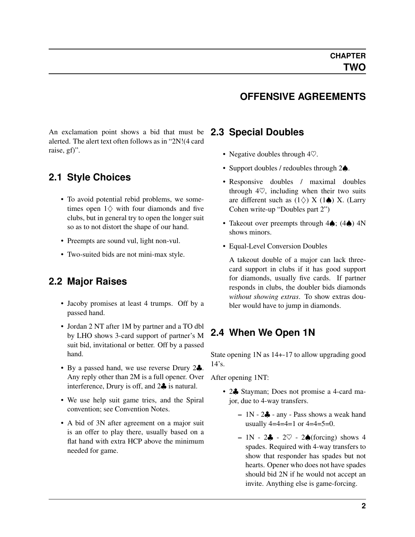### **OFFENSIVE AGREEMENTS**

<span id="page-4-0"></span>An exclamation point shows a bid that must be alerted. The alert text often follows as in "2N!(4 card raise, gf)".

#### <span id="page-4-1"></span>**2.1 Style Choices**

- To avoid potential rebid problems, we sometimes open  $1\diamondsuit$  with four diamonds and five clubs, but in general try to open the longer suit so as to not distort the shape of our hand.
- Preempts are sound vul, light non-vul.
- Two-suited bids are not mini-max style.

## <span id="page-4-2"></span>**2.2 Major Raises**

- Jacoby promises at least 4 trumps. Off by a passed hand.
- Jordan 2 NT after 1M by partner and a TO dbl by LHO shows 3-card support of partner's M suit bid, invitational or better. Off by a passed hand.
- By a passed hand, we use reverse Drury 2. Any reply other than 2M is a full opener. Over interference, Drury is off, and 2♣ is natural.
- We use help suit game tries, and the Spiral convention; see Convention Notes.
- A bid of 3N after agreement on a major suit is an offer to play there, usually based on a flat hand with extra HCP above the minimum needed for game.

#### <span id="page-4-3"></span>**2.3 Special Doubles**

- Negative doubles through  $4\heartsuit$ .
- Support doubles / redoubles through 2♠.
- Responsive doubles / maximal doubles through  $4\heartsuit$ , including when their two suits are different such as  $(1\diamondsuit)$  X  $(1\spadesuit)$  X. (Larry Cohen write-up "Doubles part 2")
- Takeout over preempts through 4♠; (4♠) 4N shows minors.
- Equal-Level Conversion Doubles

A takeout double of a major can lack threecard support in clubs if it has good support for diamonds, usually five cards. If partner responds in clubs, the doubler bids diamonds *without showing extras*. To show extras doubler would have to jump in diamonds.

## <span id="page-4-4"></span>**2.4 When We Open 1N**

State opening 1N as 14+-17 to allow upgrading good 14's.

After opening 1NT:

- 2. Stayman; Does not promise a 4-card major, due to 4-way transfers.
	- $-1N 2\clubsuit$  any Pass shows a weak hand usually  $4=4=4=1$  or  $4=4=5=0$ .
	- $-1N 2\clubsuit 2\heartsuit 2\spadesuit$  (forcing) shows 4 spades. Required with 4-way transfers to show that responder has spades but not hearts. Opener who does not have spades should bid 2N if he would not accept an invite. Anything else is game-forcing.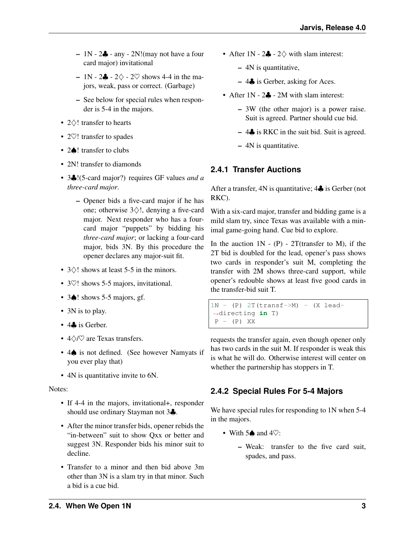- $-1N 2\clubsuit$  any 2N! (may not have a four card major) invitational
- $-1N 2\clubsuit 2\diamondsuit 2\heartsuit$  shows 4-4 in the majors, weak, pass or correct. (Garbage)
- See below for special rules when responder is 5-4 in the majors.
- 2♢! transfer to hearts
- 2 $\heartsuit$ ! transfer to spades
- 2♠! transfer to clubs
- 2N! transfer to diamonds
- 3♣!(5-card major?) requires GF values *and a three-card major*.
	- Opener bids a five-card major if he has one; otherwise 3♢!, denying a five-card major. Next responder who has a fourcard major "puppets" by bidding his *three-card major*; or lacking a four-card major, bids 3N. By this procedure the opener declares any major-suit fit.
- 3♢! shows at least 5-5 in the minors.
- 3 $\heartsuit$ ! shows 5-5 majors, invitational.
- 3♠! shows 5-5 majors, gf.
- 3N is to play.
- 4. is Gerber.
- 4♢/♡ are Texas transfers.
- 4♠ is not defined. (See however Namyats if you ever play that)
- 4N is quantitative invite to 6N.

#### Notes:

- If 4-4 in the majors, invitational+, responder should use ordinary Stayman not 3♣.
- After the minor transfer bids, opener rebids the "in-between" suit to show Qxx or better and suggest 3N. Responder bids his minor suit to decline.
- Transfer to a minor and then bid above 3m other than 3N is a slam try in that minor. Such a bid is a cue bid.
- After  $1N 2\clubsuit 2\diamondsuit$  with slam interest:
	- 4N is quantitative,
	- 4♣ is Gerber, asking for Aces.
- After 1N 2. 2M with slam interest:
	- 3W (the other major) is a power raise. Suit is agreed. Partner should cue bid.
	- $-4$  is RKC in the suit bid. Suit is agreed.
	- 4N is quantitative.

## <span id="page-5-0"></span>**2.4.1 Transfer Auctions**

After a transfer, 4N is quantitative; 4♣ is Gerber (not RKC).

With a six-card major, transfer and bidding game is a mild slam try, since Texas was available with a minimal game-going hand. Cue bid to explore.

In the auction  $1N - (P) - 2T$  (transfer to M), if the 2T bid is doubled for the lead, opener's pass shows two cards in responder's suit M, completing the transfer with 2M shows three-card support, while opener's redouble shows at least five good cards in the transfer-bid suit T.

```
1N - (P) 2T(transf->M) - (X lead-
˓→directing in T)
P - (P) XX
```
requests the transfer again, even though opener only has two cards in the suit M. If responder is weak this is what he will do. Otherwise interest will center on whether the partnership has stoppers in T.

## <span id="page-5-1"></span>**2.4.2 Special Rules For 5-4 Majors**

We have special rules for responding to 1N when 5-4 in the majors.

- With  $5\spadesuit$  and  $4\heartsuit$ :
	- Weak: transfer to the five card suit, spades, and pass.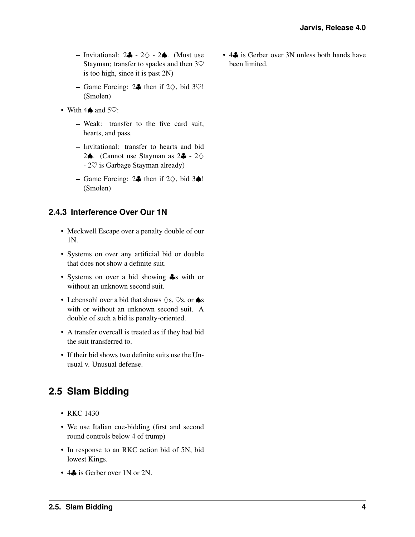- Invitational: 2♣ 2♢ 2♠. (Must use Stayman; transfer to spades and then 3♡ is too high, since it is past 2N)
- Game Forcing: 2♣ then if 2♢, bid 3♡! (Smolen)
- With  $4\spadesuit$  and  $5\heartsuit$ :
	- Weak: transfer to the five card suit, hearts, and pass.
	- Invitational: transfer to hearts and bid 2♠. (Cannot use Stayman as 2♣ - 2♢ - 2♡ is Garbage Stayman already)
	- Game Forcing: 2♣ then if  $2\diamondsuit$ , bid 3♠! (Smolen)

## <span id="page-6-0"></span>**2.4.3 Interference Over Our 1N**

- Meckwell Escape over a penalty double of our 1N.
- Systems on over any artificial bid or double that does not show a definite suit.
- Systems on over a bid showing  $\clubsuit$ s with or without an unknown second suit.
- Lebensohl over a bid that shows  $\Diamond$ s,  $\heartsuit$ s, or  $\spadesuit$ s with or without an unknown second suit. A double of such a bid is penalty-oriented.
- A transfer overcall is treated as if they had bid the suit transferred to.
- If their bid shows two definite suits use the Unusual v. Unusual defense.

## <span id="page-6-1"></span>**2.5 Slam Bidding**

- RKC 1430
- We use Italian cue-bidding (first and second round controls below 4 of trump)
- In response to an RKC action bid of 5N, bid lowest Kings.
- 4. is Gerber over 1N or 2N.

• 4. is Gerber over 3N unless both hands have been limited.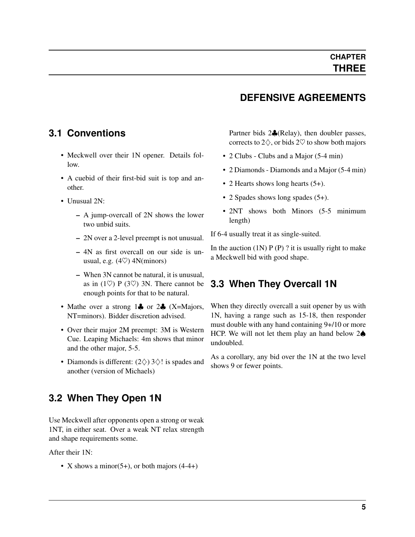## **DEFENSIVE AGREEMENTS**

## <span id="page-7-0"></span>**3.1 Conventions**

- Meckwell over their 1N opener. Details follow.
- A cuebid of their first-bid suit is top and another.
- Unusual 2N:
	- A jump-overcall of 2N shows the lower two unbid suits.
	- 2N over a 2-level preempt is not unusual.
	- 4N as first overcall on our side is unusual, e.g.  $(4\heartsuit)$  4N(minors)
	- When 3N cannot be natural, it is unusual, as in (1 $\heartsuit$ ) P (3 $\heartsuit$ ) 3N. There cannot be enough points for that to be natural.
- Mathe over a strong 14 or 24 (X=Majors, NT=minors). Bidder discretion advised.
- Over their major 2M preempt: 3M is Western Cue. Leaping Michaels: 4m shows that minor and the other major, 5-5.
- Diamonds is different:  $(2\diamond)$  3 $\diamond$ ! is spades and another (version of Michaels)

## <span id="page-7-1"></span>**3.2 When They Open 1N**

Use Meckwell after opponents open a strong or weak 1NT, in either seat. Over a weak NT relax strength and shape requirements some.

After their 1N:

• X shows a minor(5+), or both majors  $(4-4+)$ 

Partner bids 2♣(Relay), then doubler passes, corrects to  $2\diamondsuit$ , or bids  $2\heartsuit$  to show both majors

- 2 Clubs Clubs and a Major (5-4 min)
- 2 Diamonds Diamonds and a Major (5-4 min)
- 2 Hearts shows long hearts  $(5+)$ .
- 2 Spades shows long spades (5+).
- 2NT shows both Minors (5-5 minimum length)

If 6-4 usually treat it as single-suited.

In the auction  $(1N)$  P (P) ? it is usually right to make a Meckwell bid with good shape.

## <span id="page-7-2"></span>**3.3 When They Overcall 1N**

When they directly overcall a suit opener by us with 1N, having a range such as 15-18, then responder must double with any hand containing 9+/10 or more HCP. We will not let them play an hand below 2♠ undoubled.

As a corollary, any bid over the 1N at the two level shows 9 or fewer points.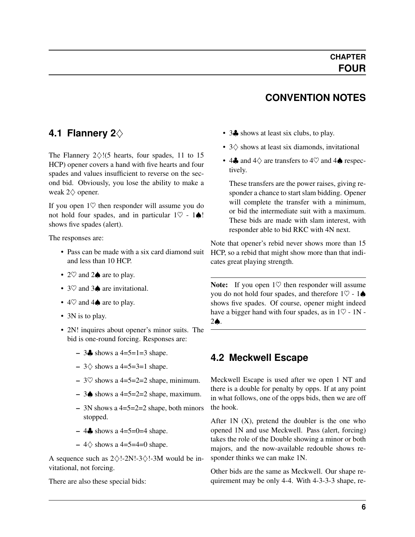## **CONVENTION NOTES**

## <span id="page-8-2"></span><span id="page-8-0"></span>**4.1 Flannery 2**♢

The Flannery  $2\diamondsuit$ !(5 hearts, four spades, 11 to 15 HCP) opener covers a hand with five hearts and four spades and values insufficient to reverse on the second bid. Obviously, you lose the ability to make a weak 2♢ opener.

If you open  $1\heartsuit$  then responder will assume you do not hold four spades, and in particular  $1\heartsuit - 1\spadesuit!$ shows five spades (alert).

The responses are:

- Pass can be made with a six card diamond suit and less than 10 HCP.
- 2 $\heartsuit$  and 2 $\spadesuit$  are to play.
- 3♡ and 3▲ are invitational.
- $4\heartsuit$  and  $4\spadesuit$  are to play.
- 3N is to play.
- 2N! inquires about opener's minor suits. The bid is one-round forcing. Responses are:
	- 3♣ shows a 4=5=1=3 shape.
	- $3\diamond$  shows a 4=5=3=1 shape.
	- $-$  3 $\heartsuit$  shows a 4=5=2=2 shape, minimum.
	- 3♦ shows a 4=5=2=2 shape, maximum.
	- $-$  3N shows a 4=5=2=2 shape, both minors stopped.
	- 4♣ shows a  $4=5=0=4$  shape.
	- $-4$   $\diamond$  shows a 4=5=4=0 shape.

A sequence such as 2♢!-2N!-3♢!-3M would be invitational, not forcing.

There are also these special bids:

- 3. shows at least six clubs, to play.
- 3♢ shows at least six diamonds, invitational
- 4 $\clubsuit$  and 4 $\diamondsuit$  are transfers to 4 $\heartsuit$  and 4 $\spadesuit$  respectively.

These transfers are the power raises, giving responder a chance to start slam bidding. Opener will complete the transfer with a minimum, or bid the intermediate suit with a maximum. These bids are made with slam interest, with responder able to bid RKC with 4N next.

Note that opener's rebid never shows more than 15 HCP, so a rebid that might show more than that indicates great playing strength.

Note: If you open  $1\heartsuit$  then responder will assume you do not hold four spades, and therefore  $1\heartsuit$  - 1 $\spadesuit$ shows five spades. Of course, opener might indeed have a bigger hand with four spades, as in  $1\heartsuit$  - 1N -2♠.

## <span id="page-8-1"></span>**4.2 Meckwell Escape**

Meckwell Escape is used after we open 1 NT and there is a double for penalty by opps. If at any point in what follows, one of the opps bids, then we are off the hook.

After  $1N(X)$ , pretend the doubler is the one who opened 1N and use Meckwell. Pass (alert, forcing) takes the role of the Double showing a minor or both majors, and the now-available redouble shows responder thinks we can make 1N.

Other bids are the same as Meckwell. Our shape requirement may be only 4-4. With 4-3-3-3 shape, re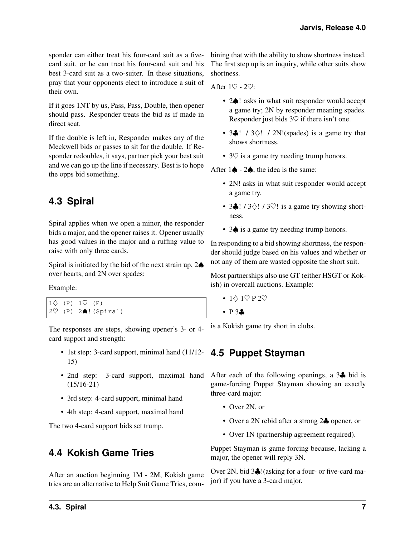<span id="page-9-3"></span>sponder can either treat his four-card suit as a fivecard suit, or he can treat his four-card suit and his best 3-card suit as a two-suiter. In these situations, pray that your opponents elect to introduce a suit of their own.

If it goes 1NT by us, Pass, Pass, Double, then opener should pass. Responder treats the bid as if made in direct seat.

If the double is left in, Responder makes any of the Meckwell bids or passes to sit for the double. If Responder redoubles, it says, partner pick your best suit and we can go up the line if necessary. Best is to hope the opps bid something.

## <span id="page-9-0"></span>**4.3 Spiral**

Spiral applies when we open a minor, the responder bids a major, and the opener raises it. Opener usually has good values in the major and a ruffing value to raise with only three cards.

Spiral is initiated by the bid of the next strain up,  $2\spadesuit$ over hearts, and 2N over spades:

Example:

 $1\diamondsuit$  (P)  $1\heartsuit$  (P) 2♡ (P) 2♠!(Spiral)

The responses are steps, showing opener's 3- or 4 card support and strength:

- 1st step: 3-card support, minimal hand (11/12- **4.5 Puppet Stayman** 15)
- (15/16-21)
- 3rd step: 4-card support, minimal hand
- 4th step: 4-card support, maximal hand

The two 4-card support bids set trump.

## <span id="page-9-1"></span>**4.4 Kokish Game Tries**

After an auction beginning 1M - 2M, Kokish game tries are an alternative to Help Suit Game Tries, combining that with the ability to show shortness instead. The first step up is an inquiry, while other suits show shortness.

After  $1\heartsuit$  -  $2\heartsuit$ :

- 2 $\spadesuit$ ! asks in what suit responder would accept a game try; 2N by responder meaning spades. Responder just bids  $3\heartsuit$  if there isn't one.
- 3 $\clubsuit$ ! / 3 $\diamond$ ! / 2N!(spades) is a game try that shows shortness.
- $3\heartsuit$  is a game try needing trump honors.

After  $1\spadesuit$  -  $2\spadesuit$ , the idea is the same:

- 2N! asks in what suit responder would accept a game try.
- 3 $\clubsuit$ ! / 3 $\diamond$ ! / 3 $\heartsuit$ ! is a game try showing shortness.
- 3 $\bullet$  is a game try needing trump honors.

In responding to a bid showing shortness, the responder should judge based on his values and whether or not any of them are wasted opposite the short suit.

Most partnerships also use GT (either HSGT or Kokish) in overcall auctions. Example:

- $1 \diamond 1 \heartsuit P 2 \heartsuit$
- P 3.

<span id="page-9-2"></span>is a Kokish game try short in clubs.

• 2nd step: 3-card support, maximal hand After each of the following openings, a 3. bid is game-forcing Puppet Stayman showing an exactly three-card major:

- Over 2N, or
- Over a 2N rebid after a strong 2. opener, or
- Over 1N (partnership agreement required).

Puppet Stayman is game forcing because, lacking a major, the opener will reply 3N.

Over 2N, bid 3♣!(asking for a four- or five-card major) if you have a 3-card major.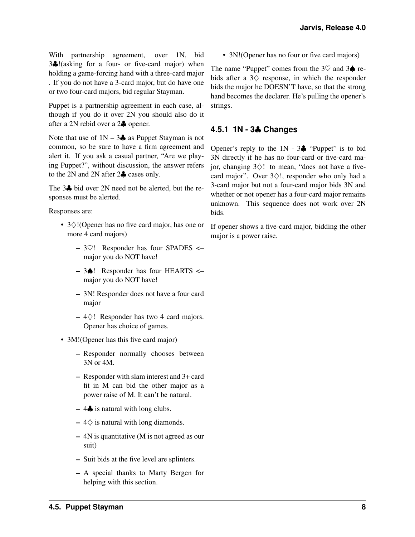With partnership agreement, over 1N, bid 3♣!(asking for a four- or five-card major) when holding a game-forcing hand with a three-card major . If you do not have a 3-card major, but do have one or two four-card majors, bid regular Stayman.

Puppet is a partnership agreement in each case, although if you do it over 2N you should also do it after a 2N rebid over a 2♣ opener.

Note that use of  $1N - 3\clubsuit$  as Puppet Stayman is not common, so be sure to have a firm agreement and alert it. If you ask a casual partner, "Are we playing Puppet?", without discussion, the answer refers to the 2N and 2N after 2♣ cases only.

The 3♣ bid over 2N need not be alerted, but the responses must be alerted.

Responses are:

- 3♢!(Opener has no five card major, has one or more 4 card majors)
	- $-3\degree$ ! Responder has four SPADES <major you do NOT have!
	- 3♠! Responder has four HEARTS <– major you do NOT have!
	- 3N! Responder does not have a four card major
	- $-4$ ♢! Responder has two 4 card majors. Opener has choice of games.
- 3M! (Opener has this five card major)
	- Responder normally chooses between 3N or 4M.
	- Responder with slam interest and 3+ card fit in M can bid the other major as a power raise of M. It can't be natural.
	- $-4$  ÷ is natural with long clubs.
	- $-4\Diamond$  is natural with long diamonds.
	- 4N is quantitative (M is not agreed as our suit)
	- Suit bids at the five level are splinters.
	- A special thanks to Marty Bergen for helping with this section.

• 3N!(Opener has no four or five card majors)

The name "Puppet" comes from the  $3\heartsuit$  and  $3\spadesuit$  rebids after a  $3\diamondsuit$  response, in which the responder bids the major he DOESN'T have, so that the strong hand becomes the declarer. He's pulling the opener's strings.

#### <span id="page-10-0"></span>**4.5.1 1N - 3**♣ **Changes**

Opener's reply to the  $1N - 3$  "Puppet" is to bid 3N directly if he has no four-card or five-card major, changing 3♢! to mean, "does not have a fivecard major". Over 3♢!, responder who only had a 3-card major but not a four-card major bids 3N and whether or not opener has a four-card major remains unknown. This sequence does not work over 2N bids.

If opener shows a five-card major, bidding the other major is a power raise.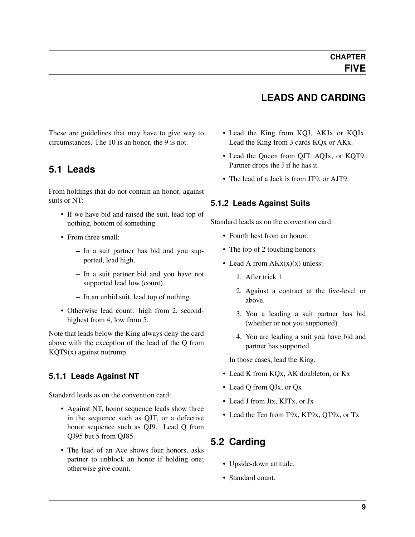#### <span id="page-11-0"></span>These are guidelines that may have to give way to circumstances. The 10 is an honor, the 9 is not.

## <span id="page-11-1"></span>**5.1 Leads**

From holdings that do not contain an honor, against suits or NT:

- If we have bid and raised the suit, lead top of nothing, bottom of something.
- From three small:
	- In a suit partner has bid and you supported, lead high.
	- In a suit partner bid and you have not supported lead low (count).
	- In an unbid suit, lead top of nothing.
- Otherwise lead count: high from 2, secondhighest from 4, low from 5.

Note that leads below the King always deny the card above with the exception of the lead of the Q from KQT9(x) against notrump.

#### <span id="page-11-2"></span>**5.1.1 Leads Against NT**

Standard leads as on the convention card:

- Against NT, honor sequence leads show three in the sequence such as QJT, or a defective honor sequence such as QJ9. Lead Q from QJ95 but 5 from QJ85.
- The lead of an Ace shows four honors, asks partner to unblock an honor if holding one; otherwise give count.
- **LEADS AND CARDING**
- Lead the King from KQJ, AKJx or KQJx. Lead the King from 3 cards KQx or AKx.
- Lead the Queen from QJT, AQJx, or KQT9. Partner drops the J if he has it.
- The lead of a Jack is from JT9, or AJT9.

#### <span id="page-11-3"></span>**5.1.2 Leads Against Suits**

Standard leads as on the convention card:

- Fourth best from an honor.
- The top of 2 touching honors
- Lead A from  $AKx(x)(x)$  unless:
	- 1. After trick 1
	- 2. Against a contract at the five-level or above.
	- 3. You a leading a suit partner has bid (whether or not you supported)
	- 4. You are leading a suit you have bid and partner has supported

In those cases, lead the King.

- Lead K from KQx, AK doubleton, or Kx
- Lead Q from QJx, or Qx
- Lead J from Jtx, KJTx, or Jx
- Lead the Ten from T9x, KT9x, QT9x, or Tx

## <span id="page-11-4"></span>**5.2 Carding**

- Upside-down attitude.
- Standard count.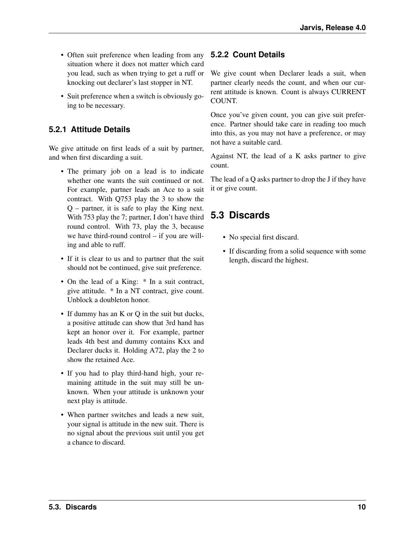- Often suit preference when leading from any situation where it does not matter which card you lead, such as when trying to get a ruff or knocking out declarer's last stopper in NT.
- Suit preference when a switch is obviously going to be necessary.

#### <span id="page-12-0"></span>**5.2.1 Attitude Details**

We give attitude on first leads of a suit by partner, and when first discarding a suit.

- The primary job on a lead is to indicate whether one wants the suit continued or not. For example, partner leads an Ace to a suit contract. With Q753 play the 3 to show the Q – partner, it is safe to play the King next. With 753 play the 7; partner, I don't have third round control. With 73, play the 3, because we have third-round control – if you are willing and able to ruff.
- If it is clear to us and to partner that the suit should not be continued, give suit preference.
- On the lead of a King: \* In a suit contract, give attitude. \* In a NT contract, give count. Unblock a doubleton honor.
- If dummy has an K or Q in the suit but ducks, a positive attitude can show that 3rd hand has kept an honor over it. For example, partner leads 4th best and dummy contains Kxx and Declarer ducks it. Holding A72, play the 2 to show the retained Ace.
- If you had to play third-hand high, your remaining attitude in the suit may still be unknown. When your attitude is unknown your next play is attitude.
- When partner switches and leads a new suit, your signal is attitude in the new suit. There is no signal about the previous suit until you get a chance to discard.

#### <span id="page-12-1"></span>**5.2.2 Count Details**

We give count when Declarer leads a suit, when partner clearly needs the count, and when our current attitude is known. Count is always CURRENT COUNT.

Once you've given count, you can give suit preference. Partner should take care in reading too much into this, as you may not have a preference, or may not have a suitable card.

Against NT, the lead of a K asks partner to give count.

The lead of a Q asks partner to drop the J if they have it or give count.

## <span id="page-12-2"></span>**5.3 Discards**

- No special first discard.
- If discarding from a solid sequence with some length, discard the highest.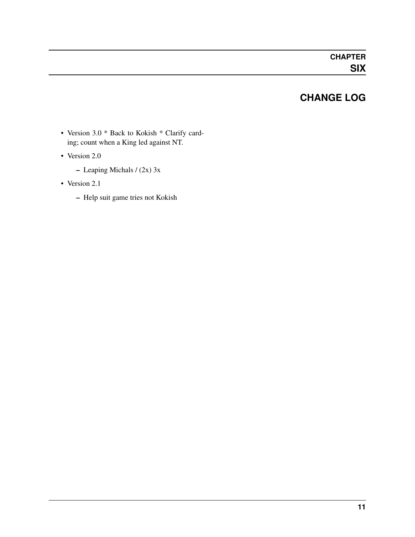## **CHANGE LOG**

- <span id="page-13-0"></span>• Version 3.0 \* Back to Kokish \* Clarify carding; count when a King led against NT.
- Version 2.0
	- Leaping Michals / (2x) 3x
- Version 2.1
	- Help suit game tries not Kokish